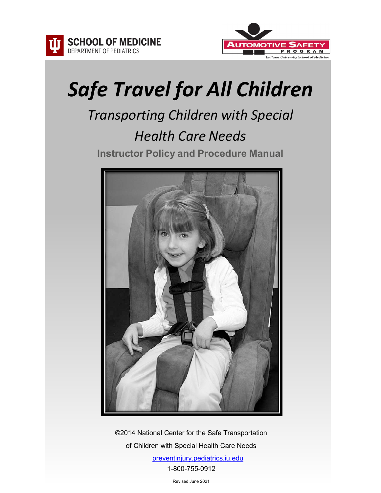



# *Safe Travel for All Children*

# *Transporting Children with Special Health Care Needs* **Instructor Policy and Procedure Manual**



©2014 National Center for the Safe Transportation of Children with Special Health Care Needs

> [preventinjury.pediatrics.iu.edu](https://preventinjury.pediatrics.iu.edu/) 1-800-755-0912

> > Revised June 2021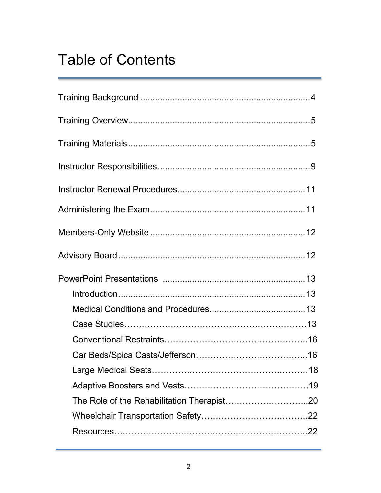# Table of Contents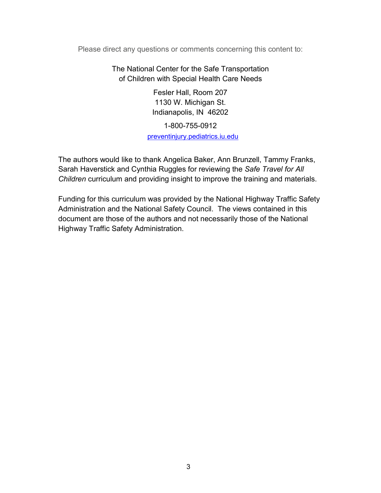Please direct any questions or comments concerning this content to:

The National Center for the Safe Transportation of Children with Special Health Care Needs

> Fesler Hall, Room 207 1130 W. Michigan St. Indianapolis, IN 46202

1-800-755-0912 [preventinjury.pediatrics.iu.edu](https://preventinjury.pediatrics.iu.edu/)

The authors would like to thank Angelica Baker, Ann Brunzell, Tammy Franks, Sarah Haverstick and Cynthia Ruggles for reviewing the *Safe Travel for All Children* curriculum and providing insight to improve the training and materials.

Funding for this curriculum was provided by the National Highway Traffic Safety Administration and the National Safety Council. The views contained in this document are those of the authors and not necessarily those of the National Highway Traffic Safety Administration.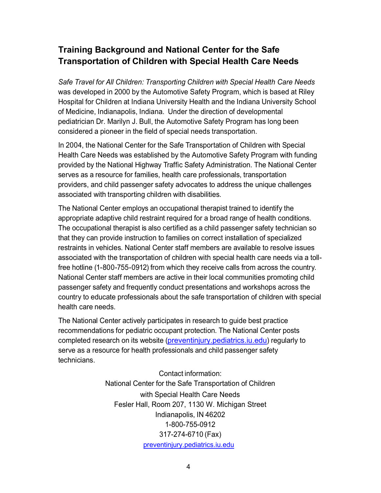# **Training Background and National Center for the Safe Transportation of Children with Special Health Care Needs**

*Safe Travel for All Children: Transporting Children with Special Health Care Needs* was developed in 2000 by the Automotive Safety Program, which is based at Riley Hospital for Children at Indiana University Health and the Indiana University School of Medicine, Indianapolis, Indiana. Under the direction of developmental pediatrician Dr. Marilyn J. Bull, the Automotive Safety Program has long been considered a pioneer in the field of special needs transportation.

In 2004, the National Center for the Safe Transportation of Children with Special Health Care Needs was established by the Automotive Safety Program with funding provided by the National Highway Traffic Safety Administration. The National Center serves as a resource for families, health care professionals, transportation providers, and child passenger safety advocates to address the unique challenges associated with transporting children with disabilities.

The National Center employs an occupational therapist trained to identify the appropriate adaptive child restraint required for a broad range of health conditions. The occupational therapist is also certified as a child passenger safety technician so that they can provide instruction to families on correct installation of specialized restraints in vehicles. National Center staff members are available to resolve issues associated with the transportation of children with special health care needs via a tollfree hotline (1-800-755-0912) from which they receive calls from across the country. National Center staff members are active in their local communities promoting child passenger safety and frequently conduct presentations and workshops across the country to educate professionals about the safe transportation of children with special health care needs.

The National Center actively participates in research to guide best practice recommendations for pediatric occupant protection. The National Center posts completed research on its website [\(preventinjury.pediatrics.iu.edu\)](https://preventinjury.pediatrics.iu.edu/) regularly to serve as a resource for health professionals and child passenger safety technicians.

> Contact information: National Center for the Safe Transportation of Children with Special Health Care Needs Fesler Hall, Room 207, 1130 W. Michigan Street Indianapolis, IN 46202 1-800-755-0912 317-274-6710 (Fax) [preventinjury.pediatrics.iu.edu](https://preventinjury.pediatrics.iu.edu/)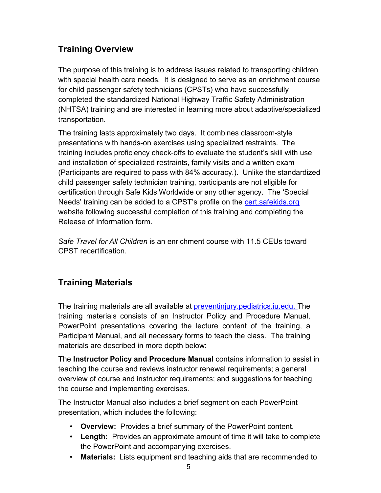# <span id="page-4-0"></span>**Training Overview**

The purpose of this training is to address issues related to transporting children with special health care needs. It is designed to serve as an enrichment course for child passenger safety technicians (CPSTs) who have successfully completed the standardized National Highway Traffic Safety Administration (NHTSA) training and are interested in learning more about adaptive/specialized transportation.

The training lasts approximately two days. It combines classroom-style presentations with hands-on exercises using specialized restraints. The training includes proficiency check-offs to evaluate the student's skill with use and installation of specialized restraints, family visits and a written exam (Participants are required to pass with 84% accuracy.). Unlike the standardized child passenger safety technician training, participants are not eligible for certification through Safe Kids Worldwide or any other agency. The 'Special Needs' training can be added to a CPST's profile on the **cert safekids.org** website following successful completion of this training and completing the Release of Information form.

*Safe Travel for All Children* is an enrichment course with 11.5 CEUs toward CPST recertification.

# <span id="page-4-1"></span>**Training Materials**

The training materials are all available at [preventinjury.pediatrics.iu.edu.](https://preventinjury.pediatrics.iu.edu/) The training materials consists of an Instructor Policy and Procedure Manual, PowerPoint presentations covering the lecture content of the training, a Participant Manual, and all necessary forms to teach the class. The training materials are described in more depth below:

The **Instructor Policy and Procedure Manual** contains information to assist in teaching the course and reviews instructor renewal requirements; a general overview of course and instructor requirements; and suggestions for teaching the course and implementing exercises.

The Instructor Manual also includes a brief segment on each PowerPoint presentation, which includes the following:

- **Overview:** Provides a brief summary of the PowerPoint content.
- **Length:** Provides an approximate amount of time it will take to complete the PowerPoint and accompanying exercises.
- **Materials:** Lists equipment and teaching aids that are recommended to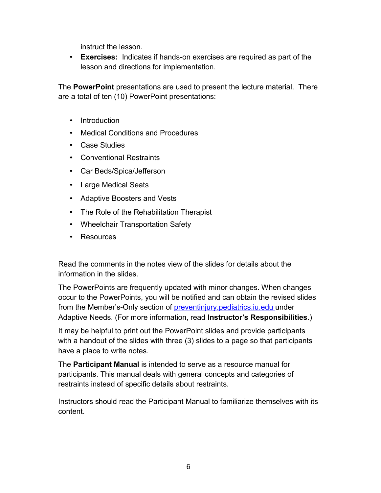instruct the lesson.

• **Exercises:** Indicates if hands-on exercises are required as part of the lesson and directions for implementation.

The **PowerPoint** presentations are used to present the lecture material. There are a total of ten (10) PowerPoint presentations:

- Introduction
- Medical Conditions and Procedures
- Case Studies
- Conventional Restraints
- Car Beds/Spica/Jefferson
- Large Medical Seats
- Adaptive Boosters and Vests
- The Role of the Rehabilitation Therapist
- Wheelchair Transportation Safety
- Resources

Read the comments in the notes view of the slides for details about the information in the slides.

The PowerPoints are frequently updated with minor changes. When changes occur to the PowerPoints, you will be notified and can obtain the revised slides from the Member's-Only section of [preventinjury.pediatrics.iu.edu](https://preventinjury.pediatrics.iu.edu/) under Adaptive Needs. (For more information, read **Instructor's Responsibilities**.)

It may be helpful to print out the PowerPoint slides and provide participants with a handout of the slides with three (3) slides to a page so that participants have a place to write notes.

The **Participant Manual** is intended to serve as a resource manual for participants. This manual deals with general concepts and categories of restraints instead of specific details about restraints.

Instructors should read the Participant Manual to familiarize themselves with its content.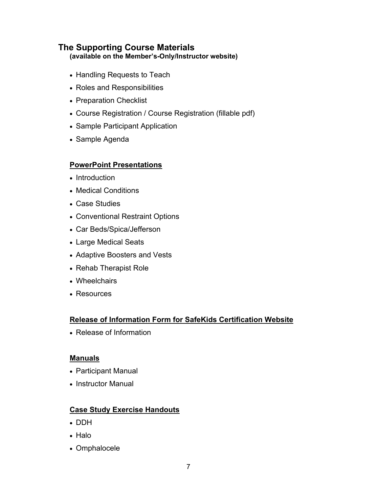# **The Supporting Course Materials**

**(available on the Member's-Only/Instructor website)**

- [Handling Requests to Teach](https://preventinjury.pediatrics.iu.edu/wp-content/uploads/2019/12/Handling-Requests-to-Teach.pdf)
- [Roles and Responsibilities](https://preventinjury.pediatrics.iu.edu/wp-content/uploads/2021/05/Roles-and-Responsbilities-for-Course-Sponsor-and-Lead-Instructor.pdf)
- [Preparation Checklist](https://preventinjury.pediatrics.iu.edu/wp-content/uploads/2021/03/Preparation-Checklist.pdf)
- [Course Registration](https://preventinjury.pediatrics.iu.edu/wp-content/uploads/2020/08/Course-Registration.pdf) / [Course Registration \(fillable pdf\)](https://preventinjury.pediatrics.iu.edu/wp-content/uploads/2021/05/Course-Registration-Fillable.pdf)
- [Sample Participant Application](https://preventinjury.pediatrics.iu.edu/wp-content/uploads/2019/12/Sample-Participant-Application.pdf)
- [Sample Agenda](https://preventinjury.pediatrics.iu.edu/wp-content/uploads/2021/05/Sample-Agenda.pdf)

#### **PowerPoint Presentations**

- [Introduction](https://preventinjury.pediatrics.iu.edu/wp-content/uploads/2021/05/2021-STAC-Introduction.pptx)
- [Medical Conditions](https://preventinjury.pediatrics.iu.edu/wp-content/uploads/2021/05/2021-STAC-Medical-Conditions-and-Procedures.pptx)
- [Case Studies](https://preventinjury.pediatrics.iu.edu/wp-content/uploads/2021/05/2021-STAC-Case-Studies-Discussion.pptx)
- [Conventional Restraint Options](https://preventinjury.pediatrics.iu.edu/wp-content/uploads/2021/05/2021-STAC-Conventional.pptx)
- [Car Beds/Spica/Jefferson](https://preventinjury.pediatrics.iu.edu/wp-content/uploads/2021/05/2021-STAC-Car-Beds.Spica_.Jefferson.pptx)
- [Large Medical Seats](https://preventinjury.pediatrics.iu.edu/wp-content/uploads/2021/05/2021-STAC-Large-Medical-Seats.pptx)
- [Adaptive Boosters and Vests](https://preventinjury.pediatrics.iu.edu/wp-content/uploads/2021/05/2021-STAC-Adaptive-Boosters-and-Vests.pptx)
- [Rehab Therapist Role](https://preventinjury.pediatrics.iu.edu/wp-content/uploads/2021/05/2021-STAC-Rehab-Therapist-Role.pptx)
- [Wheelchairs](https://preventinjury.pediatrics.iu.edu/wp-content/uploads/2021/05/2021-STAC-Wheelchairs.pptx)
- [Resources](https://preventinjury.pediatrics.iu.edu/wp-content/uploads/2021/05/2021-STAC-Resources.pptx)

#### **Release of Information Form for SafeKids Certification Website**

• [Release of Information](https://preventinjury.pediatrics.iu.edu/wp-content/uploads/2019/12/Release-of-Information-Form.pdf)

#### **Manuals**

- [Participant Manual](https://preventinjury.pediatrics.iu.edu/wp-content/uploads/2019/12/Participant-Manual.pdf)
- [Instructor Manual](https://preventinjury.pediatrics.iu.edu/wp-content/uploads/2019/12/Instructor-Manual.pdf)

#### **Case Study Exercise Handouts**

- [DDH](https://preventinjury.pediatrics.iu.edu/wp-content/uploads/2018/09/DDH.pdf)
- [Halo](https://preventinjury.pediatrics.iu.edu/wp-content/uploads/2018/09/Halo.pdf)
- [Omphalocele](https://preventinjury.pediatrics.iu.edu/wp-content/uploads/2018/09/Omphalocele.pdf)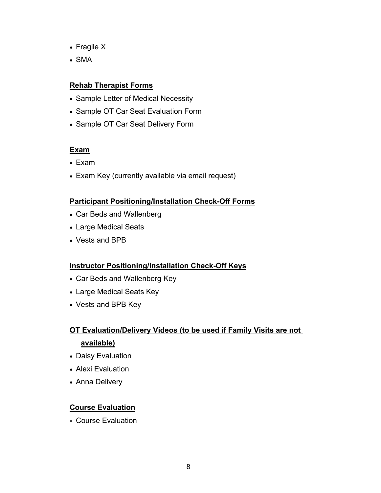- [Fragile X](https://preventinjury.pediatrics.iu.edu/wp-content/uploads/2018/09/Fragile-X-Syndrome.pdf)
- [SMA](https://preventinjury.pediatrics.iu.edu/wp-content/uploads/2018/09/SMA.pdf)

#### **Rehab Therapist Forms**

- [Sample Letter of Medical Necessity](https://preventinjury.pediatrics.iu.edu/wp-content/uploads/2019/12/Sample-LMN-for-Roosevelt.pdf)
- [Sample OT Car Seat Evaluation Form](https://preventinjury.pediatrics.iu.edu/wp-content/uploads/2020/10/OT-adaptive-car-seat-evaluation.pdf)
- Sample OT Car Seat Delivery Form

#### **Exam**

- [Exam](https://preventinjury.pediatrics.iu.edu/wp-content/uploads/2019/12/Exam.pdf)
- [Exam Key](https://preventinjury.pediatrics.iu.edu/wp-content/uploads/2021/04/Exam-Contact-Info.docx) (currently available via email request)

#### **Participant Positioning/Installation Check-Off Forms**

- [Car Beds and Wallenberg](https://preventinjury.pediatrics.iu.edu/wp-content/uploads/2020/10/Car-Beds-Wallenberg-Check-Off.pdf)
- [Large Medical Seats](https://preventinjury.pediatrics.iu.edu/wp-content/uploads/2020/10/Large-Medical-Seat-Check-Off.pdf)
- [Vests and BPB](https://preventinjury.pediatrics.iu.edu/wp-content/uploads/2020/10/Vests-BPB-Check-Off.pdf)

#### **Instructor Positioning/Installation Check-Off Keys**

- [Car Beds and Wallenberg Key](https://preventinjury.pediatrics.iu.edu/wp-content/uploads/2020/10/Car-Beds-Wally-Check-Off-Key.pdf)
- Large [Medical Seats Key](https://preventinjury.pediatrics.iu.edu/wp-content/uploads/2020/10/Large-Medical-Seat-Check-Off-Key.pdf)
- [Vests and BPB Key](https://preventinjury.pediatrics.iu.edu/wp-content/uploads/2020/10/Vests-BPB-Check-Off-Key.pdf)

# **OT Evaluation/Delivery Videos (to be used if Family Visits are not available)**

- [Daisy Evaluation](https://preventinjury.pediatrics.iu.edu/wp-content/uploads/media2020/OT-Eval-Daisy.mp4)
- [Alexi Evaluation](https://preventinjury.pediatrics.iu.edu/wp-content/uploads/media2020/OT-Eval-Alexi.mp4)
- [Anna Delivery](https://preventinjury.pediatrics.iu.edu/wp-content/uploads/media2020/Eval-Delivery-Anna.mp4)

#### **Course Evaluation**

• [Course Evaluation](https://preventinjury.pediatrics.iu.edu/wp-content/uploads/2019/12/Course-Evaluation.pdf)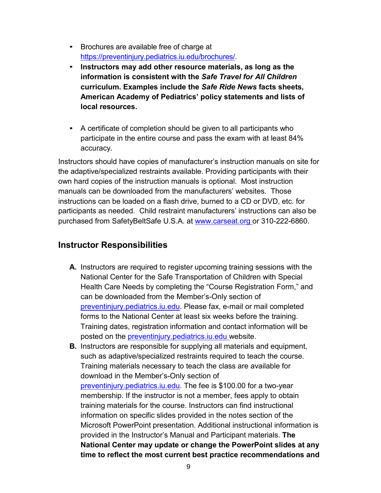- Brochures are available free of charge at [https://preventinjury.pediatrics.iu.edu/brochures/.](https://preventinjury.pediatrics.iu.edu/brochures/)
- **Instructors may add other resource materials, as long as the information is consistent with the** *Safe Travel for All Children*  **curriculum. Examples include the** *Safe Ride News* **facts sheets, American Academy of Pediatrics' policy statements and lists of local resources.**
- A certificate of completion should be given to all participants who participate in the entire course and pass the exam with at least 84% accuracy.

Instructors should have copies of manufacturer's instruction manuals on site for the adaptive/specialized restraints available. Providing participants with their own hard copies of the instruction manuals is optional. Most instruction manuals can be downloaded from the manufacturers' websites. Those instructions can be loaded on a flash drive, burned to a CD or DVD, etc. for participants as needed. Child restraint manufacturers' instructions can also be purchased from SafetyBeltSafe U.S.A. at [www.carseat.org](http://www.carseat.org/) or 310-222-6860.

#### <span id="page-8-0"></span>**Instructor Responsibilities**

- **A.** Instructors are required to register upcoming training sessions with the National Center for the Safe Transportation of Children with Special Health Care Needs by completing the "Course Registration Form," and can be downloaded from the Member's-Only section [of](http://www.preventinjury.org/)  [preventinjury.pediatrics.iu.edu.](https://preventinjury.pediatrics.iu.edu/) Please fax, e-mail or mail completed forms to the National Center at least six weeks before the training. Training dates, registration information and contact information will be posted on the [preventinjury.pediatrics.iu.edu](https://preventinjury.pediatrics.iu.edu/) website.
- **B.** Instructors are responsible for supplying all materials and equipment, such as adaptive/specialized restraints required to teach the course. Training materials necessary to teach the class are available for download in the Member's-Only section of [preventinjury.pediatrics.iu.edu.](https://preventinjury.pediatrics.iu.edu/) The fee is \$100.00 for a two-year membership. If the instructor is not a member, fees apply to obtain training materials for the course. Instructors can find instructional information on specific slides provided in the notes section of the Microsoft PowerPoint presentation. Additional instructional information is provided in the Instructor's Manual and Participant materials. **The National Center may update or change the PowerPoint slides at any time to reflect the most current best practice recommendations and**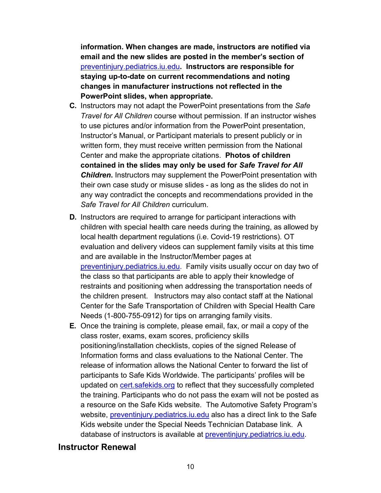**information. When changes are made, instructors are notified via email and the new slides are posted in the member's section of**  [preventinjury.pediatrics.iu.edu](https://preventinjury.pediatrics.iu.edu/)**. Instructors are responsible for staying up-to-date on current recommendations and noting changes in manufacturer instructions not reflected in the PowerPoint slides, when appropriate.**

- **C.** Instructors may not adapt the PowerPoint presentations from the *Safe Travel for All Children* course without permission. If an instructor wishes to use pictures and/or information from the PowerPoint presentation, Instructor's Manual, or Participant materials to present publicly or in written form, they must receive written permission from the National Center and make the appropriate citations. **Photos of children contained in the slides may only be used for** *Safe Travel for All*  **Children.** Instructors may supplement the PowerPoint presentation with their own case study or misuse slides - as long as the slides do not in any way contradict the concepts and recommendations provided in the *Safe Travel for All Children* curriculum.
- **D.** Instructors are required to arrange for participant interactions with children with special health care needs during the training, as allowed by local health department regulations (i.e. Covid-19 restrictions). OT evaluation and delivery videos can supplement family visits at this time and are available in the Instructor/Member pages at [preventinjury.pediatrics.iu.edu.](https://preventinjury.pediatrics.iu.edu/) Family visits usually occur on day two of the class so that participants are able to apply their knowledge of restraints and positioning when addressing the transportation needs of the children present. Instructors may also contact staff at the National Center for the Safe Transportation of Children with Special Health Care Needs (1-800-755-0912) for tips on arranging family visits.
- **E.** Once the training is complete, please email, fax, or mail a copy of the class roster, exams, exam scores, proficiency skills positioning/installation checklists, copies of the signed Release of Information forms and class evaluations to the National Center. The release of information allows the National Center to forward the list of participants to Safe Kids Worldwide. The participants' profiles will be updated on [cert.safekids.org](http://cert.safekids.org/) to reflect that they successfully completed the training. Participants who do not pass the exam will not be posted as a resource on the Safe Kids website. The Automotive Safety Program's website, [preventinjury.pediatrics.iu.edu](https://preventinjury.pediatrics.iu.edu/) also has a direct link to the Safe Kids website under the Special Needs Technician Database link. A database of instructors is available at *preventinjury.pediatrics.iu.edu.*

#### **Instructor Renewal**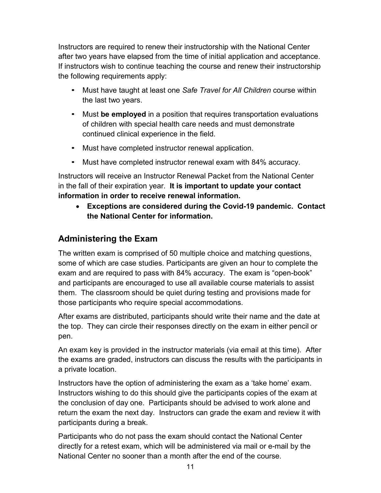Instructors are required to renew their instructorship with the National Center after two years have elapsed from the time of initial application and acceptance. If instructors wish to continue teaching the course and renew their instructorship the following requirements apply:

- Must have taught at least one *Safe Travel for All Children* course within the last two years.
- Must **be employed** in a position that requires transportation evaluations of children with special health care needs and must demonstrate continued clinical experience in the field.
- Must have completed instructor renewal application.
- Must have completed instructor renewal exam with 84% accuracy.

Instructors will receive an Instructor Renewal Packet from the National Center in the fall of their expiration year. **It is important to update your contact information in order to receive renewal information.**

• **Exceptions are considered during the Covid-19 pandemic. Contact the National Center for information.**

# <span id="page-10-0"></span>**Administering the Exam**

The written exam is comprised of 50 multiple choice and matching questions, some of which are case studies. Participants are given an hour to complete the exam and are required to pass with 84% accuracy. The exam is "open-book" and participants are encouraged to use all available course materials to assist them. The classroom should be quiet during testing and provisions made for those participants who require special accommodations.

After exams are distributed, participants should write their name and the date at the top. They can circle their responses directly on the exam in either pencil or pen.

An exam key is provided in the instructor materials (via email at this time). After the exams are graded, instructors can discuss the results with the participants in a private location.

Instructors have the option of administering the exam as a 'take home' exam. Instructors wishing to do this should give the participants copies of the exam at the conclusion of day one. Participants should be advised to work alone and return the exam the next day. Instructors can grade the exam and review it with participants during a break.

Participants who do not pass the exam should contact the National Center directly for a retest exam, which will be administered via mail or e-mail by the National Center no sooner than a month after the end of the course.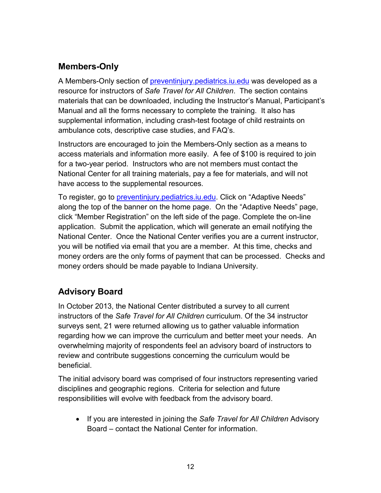# **Members-Only**

A Members-Only section of [preventinjury.pediatrics.iu.edu](https://preventinjury.pediatrics.iu.edu/) was developed as a resource for instructors of *Safe Travel for All Children*. The section contains materials that can be downloaded, including the Instructor's Manual, Participant's Manual and all the forms necessary to complete the training. It also has supplemental information, including crash-test footage of child restraints on ambulance cots, descriptive case studies, and FAQ's.

Instructors are encouraged to join the Members-Only section as a means to access materials and information more easily. A fee of \$100 is required to join for a two-year period. Instructors who are not members must contact the National Center for all training materials, pay a fee for materials, and will not have access to the supplemental resources.

To register, go to [preventinjury.pediatrics.iu.edu.](https://preventinjury.pediatrics.iu.edu/) Click on "Adaptive Needs" along the top of the banner on the home page. On the "Adaptive Needs" page, click "Member Registration" on the left side of the page. Complete the on-line application. Submit the application, which will generate an email notifying the National Center. Once the National Center verifies you are a current instructor, you will be notified via email that you are a member. At this time, checks and money orders are the only forms of payment that can be processed. Checks and money orders should be made payable to Indiana University.

# <span id="page-11-0"></span>**Advisory Board**

In October 2013, the National Center distributed a survey to all current instructors of the *Safe Travel for All Children* curriculum. Of the 34 instructor surveys sent, 21 were returned allowing us to gather valuable information regarding how we can improve the curriculum and better meet your needs. An overwhelming majority of respondents feel an advisory board of instructors to review and contribute suggestions concerning the curriculum would be beneficial.

The initial advisory board was comprised of four instructors representing varied disciplines and geographic regions. Criteria for selection and future responsibilities will evolve with feedback from the advisory board.

• If you are interested in joining the *Safe Travel for All Children* Advisory Board – contact the National Center for information.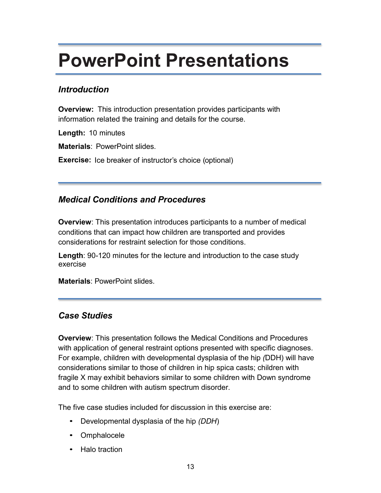# **PowerPoint Presentations**

## *Introduction*

**Overview:** This introduction presentation provides participants with information related the training and details for the course.

**Length:** 10 minutes

**Materials**: PowerPoint slides.

**Exercise:** Ice breaker of instructor's choice (optional)

# *Medical Conditions and Procedures*

**Overview**: This presentation introduces participants to a number of medical conditions that can impact how children are transported and provides considerations for restraint selection for those conditions.

**Length**: 90-120 minutes for the lecture and introduction to the case study exercise

**Materials**: PowerPoint slides.

### *Case Studies*

**Overview**: This presentation follows the Medical Conditions and Procedures with application of general restraint options presented with specific diagnoses. For example, children with developmental dysplasia of the hip *(*DDH) will have considerations similar to those of children in hip spica casts; children with fragile X may exhibit behaviors similar to some children with Down syndrome and to some children with autism spectrum disorder.

The five case studies included for discussion in this exercise are:

- Developmental dysplasia of the hip *(DDH*)
- **Omphalocele**
- Halo traction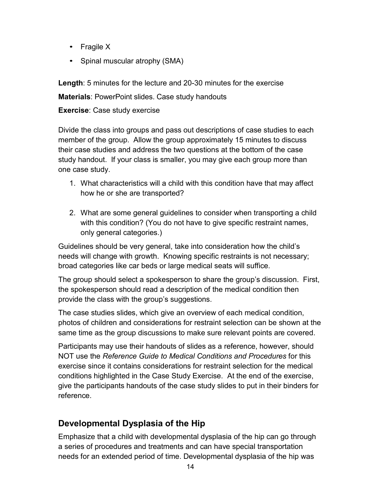- Fragile X
- Spinal muscular atrophy (SMA)

**Length**: 5 minutes for the lecture and 20-30 minutes for the exercise

**Materials**: PowerPoint slides. Case study handouts

#### **Exercise**: Case study exercise

Divide the class into groups and pass out descriptions of case studies to each member of the group. Allow the group approximately 15 minutes to discuss their case studies and address the two questions at the bottom of the case study handout. If your class is smaller, you may give each group more than one case study.

- 1. What characteristics will a child with this condition have that may affect how he or she are transported?
- 2. What are some general guidelines to consider when transporting a child with this condition? (You do not have to give specific restraint names, only general categories.)

Guidelines should be very general, take into consideration how the child's needs will change with growth. Knowing specific restraints is not necessary; broad categories like car beds or large medical seats will suffice.

The group should select a spokesperson to share the group's discussion. First, the spokesperson should read a description of the medical condition then provide the class with the group's suggestions.

The case studies slides, which give an overview of each medical condition, photos of children and considerations for restraint selection can be shown at the same time as the group discussions to make sure relevant points are covered.

Participants may use their handouts of slides as a reference, however, should NOT use the *Reference Guide to Medical Conditions and Procedures* for this exercise since it contains considerations for restraint selection for the medical conditions highlighted in the Case Study Exercise. At the end of the exercise, give the participants handouts of the case study slides to put in their binders for reference.

# **Developmental Dysplasia of the Hip**

Emphasize that a child with developmental dysplasia of the hip can go through a series of procedures and treatments and can have special transportation needs for an extended period of time. Developmental dysplasia of the hip was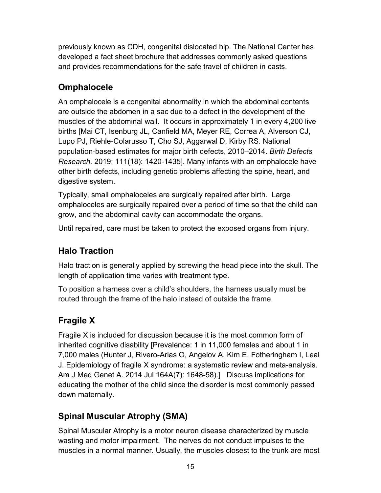previously known as CDH, congenital dislocated hip. The National Center has developed a fact sheet brochure that addresses commonly asked questions and provides recommendations for the safe travel of children in casts.

# **Omphalocele**

An omphalocele is a congenital abnormality in which the abdominal contents are outside the abdomen in a sac due to a defect in the development of the muscles of the abdominal wall. It occurs in approximately 1 in every 4,200 live births [Mai CT, Isenburg JL, Canfield MA, Meyer RE, Correa A, Alverson CJ, Lupo PJ, Riehle‐Colarusso T, Cho SJ, Aggarwal D, Kirby RS. National population‐based estimates for major birth defects, 2010–2014. *Birth Defects Research.* 2019; 111(18): 1420-1435]. Many infants with an omphalocele have other birth defects, including genetic problems affecting the spine, heart, and digestive system.

Typically, small omphaloceles are surgically repaired after birth. Large omphaloceles are surgically repaired over a period of time so that the child can grow, and the abdominal cavity can accommodate the organs.

Until repaired, care must be taken to protect the exposed organs from injury.

# **Halo Traction**

Halo traction is generally applied by screwing the head piece into the skull. The length of application time varies with treatment type.

To position a harness over a child's shoulders, the harness usually must be routed through the frame of the halo instead of outside the frame.

# **Fragile X**

Fragile X is included for discussion because it is the most common form of inherited cognitive disability [Prevalence: 1 in 11,000 females and about 1 in 7,000 males (Hunter J, Rivero-Arias O, Angelov A, Kim E, Fotheringham I, Leal J. Epidemiology of fragile X syndrome: a systematic review and meta-analysis. Am J Med Genet A. 2014 Jul 164A(7): 1648-58).] Discuss implications for educating the mother of the child since the disorder is most commonly passed down maternally.

# **Spinal Muscular Atrophy (SMA)**

Spinal Muscular Atrophy is a motor neuron disease characterized by muscle wasting and motor impairment. The nerves do not conduct impulses to the muscles in a normal manner. Usually, the muscles closest to the trunk are most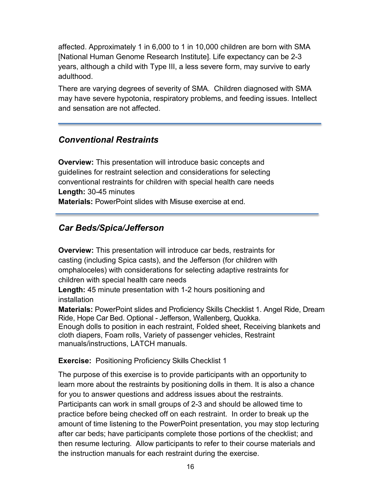affected. Approximately 1 in 6,000 to 1 in 10,000 children are born with SMA [National Human Genome Research Institute]. Life expectancy can be 2-3 years, although a child with Type III, a less severe form, may survive to early adulthood.

There are varying degrees of severity of SMA. Children diagnosed with SMA may have severe hypotonia, respiratory problems, and feeding issues. Intellect and sensation are not affected.

# *Conventional Restraints*

**Overview:** This presentation will introduce basic concepts and guidelines for restraint selection and considerations for selecting conventional restraints for children with special health care needs **Length:** 30-45 minutes **Materials:** PowerPoint slides with Misuse exercise at end.

# *Car Beds/Spica/Jefferson*

**Overview:** This presentation will introduce car beds, restraints for casting (including Spica casts), and the Jefferson (for children with omphaloceles) with considerations for selecting adaptive restraints for children with special health care needs

**Length:** 45 minute presentation with 1-2 hours positioning and installation

**Materials:** PowerPoint slides and Proficiency Skills Checklist 1. Angel Ride, Dream Ride, Hope Car Bed. Optional - Jefferson, Wallenberg, Quokka. Enough dolls to position in each restraint, Folded sheet, Receiving blankets and cloth diapers, Foam rolls, Variety of passenger vehicles, Restraint manuals/instructions, LATCH manuals.

#### **Exercise:** Positioning Proficiency Skills Checklist 1

The purpose of this exercise is to provide participants with an opportunity to learn more about the restraints by positioning dolls in them. It is also a chance for you to answer questions and address issues about the restraints. Participants can work in small groups of 2-3 and should be allowed time to practice before being checked off on each restraint. In order to break up the amount of time listening to the PowerPoint presentation, you may stop lecturing after car beds; have participants complete those portions of the checklist; and then resume lecturing. Allow participants to refer to their course materials and the instruction manuals for each restraint during the exercise.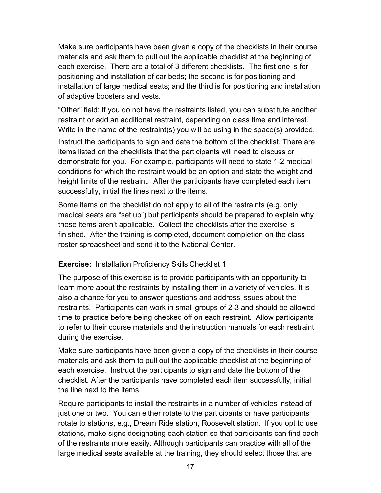Make sure participants have been given a copy of the checklists in their course materials and ask them to pull out the applicable checklist at the beginning of each exercise. There are a total of 3 different checklists. The first one is for positioning and installation of car beds; the second is for positioning and installation of large medical seats; and the third is for positioning and installation of adaptive boosters and vests.

"Other" field: If you do not have the restraints listed, you can substitute another restraint or add an additional restraint, depending on class time and interest. Write in the name of the restraint(s) you will be using in the space(s) provided. Instruct the participants to sign and date the bottom of the checklist. There are items listed on the checklists that the participants will need to discuss or demonstrate for you. For example, participants will need to state 1-2 medical conditions for which the restraint would be an option and state the weight and height limits of the restraint. After the participants have completed each item successfully, initial the lines next to the items.

Some items on the checklist do not apply to all of the restraints (e.g. only medical seats are "set up") but participants should be prepared to explain why those items aren't applicable. Collect the checklists after the exercise is finished. After the training is completed, document completion on the class roster spreadsheet and send it to the National Center.

#### **Exercise:** Installation Proficiency Skills Checklist 1

The purpose of this exercise is to provide participants with an opportunity to learn more about the restraints by installing them in a variety of vehicles. It is also a chance for you to answer questions and address issues about the restraints. Participants can work in small groups of 2-3 and should be allowed time to practice before being checked off on each restraint. Allow participants to refer to their course materials and the instruction manuals for each restraint during the exercise.

Make sure participants have been given a copy of the checklists in their course materials and ask them to pull out the applicable checklist at the beginning of each exercise. Instruct the participants to sign and date the bottom of the checklist. After the participants have completed each item successfully, initial the line next to the items.

Require participants to install the restraints in a number of vehicles instead of just one or two. You can either rotate to the participants or have participants rotate to stations, e.g., Dream Ride station, Roosevelt station. If you opt to use stations, make signs designating each station so that participants can find each of the restraints more easily. Although participants can practice with all of the large medical seats available at the training, they should select those that are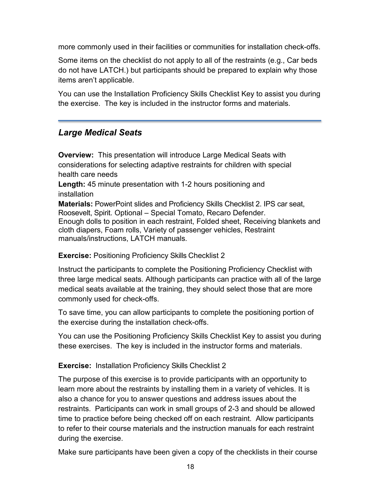more commonly used in their facilities or communities for installation check-offs.

Some items on the checklist do not apply to all of the restraints (e.g., Car beds do not have LATCH.) but participants should be prepared to explain why those items aren't applicable.

You can use the Installation Proficiency Skills Checklist Key to assist you during the exercise. The key is included in the instructor forms and materials.

# *Large Medical Seats*

**Overview:** This presentation will introduce Large Medical Seats with considerations for selecting adaptive restraints for children with special health care needs

**Length:** 45 minute presentation with 1-2 hours positioning and installation

**Materials:** PowerPoint slides and Proficiency Skills Checklist 2. IPS car seat, Roosevelt, Spirit. Optional – Special Tomato, Recaro Defender. Enough dolls to position in each restraint, Folded sheet, Receiving blankets and cloth diapers, Foam rolls, Variety of passenger vehicles, Restraint manuals/instructions, LATCH manuals.

#### **Exercise:** Positioning Proficiency Skills Checklist 2

Instruct the participants to complete the Positioning Proficiency Checklist with three large medical seats. Although participants can practice with all of the large medical seats available at the training, they should select those that are more commonly used for check-offs.

To save time, you can allow participants to complete the positioning portion of the exercise during the installation check-offs.

You can use the Positioning Proficiency Skills Checklist Key to assist you during these exercises. The key is included in the instructor forms and materials.

#### **Exercise:** Installation Proficiency Skills Checklist 2

The purpose of this exercise is to provide participants with an opportunity to learn more about the restraints by installing them in a variety of vehicles. It is also a chance for you to answer questions and address issues about the restraints. Participants can work in small groups of 2-3 and should be allowed time to practice before being checked off on each restraint. Allow participants to refer to their course materials and the instruction manuals for each restraint during the exercise.

Make sure participants have been given a copy of the checklists in their course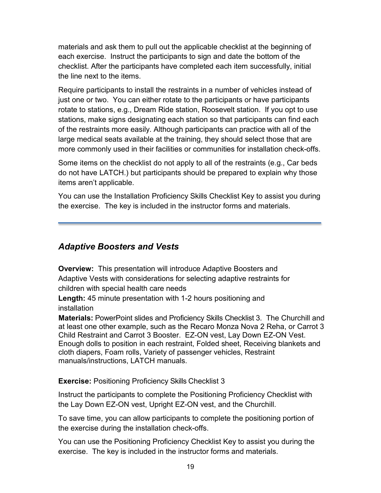materials and ask them to pull out the applicable checklist at the beginning of each exercise. Instruct the participants to sign and date the bottom of the checklist. After the participants have completed each item successfully, initial the line next to the items.

Require participants to install the restraints in a number of vehicles instead of just one or two. You can either rotate to the participants or have participants rotate to stations, e.g., Dream Ride station, Roosevelt station. If you opt to use stations, make signs designating each station so that participants can find each of the restraints more easily. Although participants can practice with all of the large medical seats available at the training, they should select those that are more commonly used in their facilities or communities for installation check-offs.

Some items on the checklist do not apply to all of the restraints (e.g., Car beds do not have LATCH.) but participants should be prepared to explain why those items aren't applicable.

You can use the Installation Proficiency Skills Checklist Key to assist you during the exercise. The key is included in the instructor forms and materials.

## *Adaptive Boosters and Vests*

**Overview:** This presentation will introduce Adaptive Boosters and Adaptive Vests with considerations for selecting adaptive restraints for children with special health care needs

**Length:** 45 minute presentation with 1-2 hours positioning and installation

**Materials:** PowerPoint slides and Proficiency Skills Checklist 3.The Churchill and at least one other example, such as the Recaro Monza Nova 2 Reha, or Carrot 3 Child Restraint and Carrot 3 Booster. EZ-ON vest, Lay Down EZ-ON Vest. Enough dolls to position in each restraint, Folded sheet, Receiving blankets and cloth diapers, Foam rolls, Variety of passenger vehicles, Restraint manuals/instructions, LATCH manuals.

#### **Exercise: Positioning Proficiency Skills Checklist 3**

Instruct the participants to complete the Positioning Proficiency Checklist with the Lay Down EZ-ON vest, Upright EZ-ON vest, and the Churchill.

To save time, you can allow participants to complete the positioning portion of the exercise during the installation check-offs.

You can use the Positioning Proficiency Checklist Key to assist you during the exercise. The key is included in the instructor forms and materials.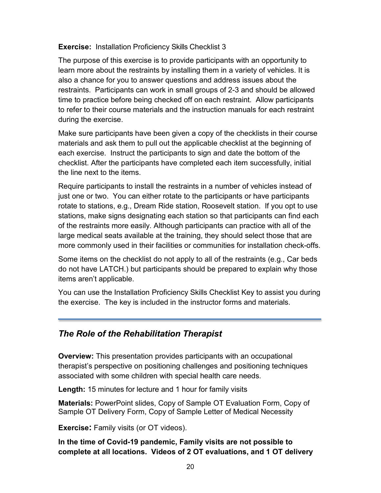#### **Exercise:** Installation Proficiency Skills Checklist 3

The purpose of this exercise is to provide participants with an opportunity to learn more about the restraints by installing them in a variety of vehicles. It is also a chance for you to answer questions and address issues about the restraints. Participants can work in small groups of 2-3 and should be allowed time to practice before being checked off on each restraint. Allow participants to refer to their course materials and the instruction manuals for each restraint during the exercise.

Make sure participants have been given a copy of the checklists in their course materials and ask them to pull out the applicable checklist at the beginning of each exercise. Instruct the participants to sign and date the bottom of the checklist. After the participants have completed each item successfully, initial the line next to the items.

Require participants to install the restraints in a number of vehicles instead of just one or two. You can either rotate to the participants or have participants rotate to stations, e.g., Dream Ride station, Roosevelt station. If you opt to use stations, make signs designating each station so that participants can find each of the restraints more easily. Although participants can practice with all of the large medical seats available at the training, they should select those that are more commonly used in their facilities or communities for installation check-offs.

Some items on the checklist do not apply to all of the restraints (e.g., Car beds do not have LATCH.) but participants should be prepared to explain why those items aren't applicable.

You can use the Installation Proficiency Skills Checklist Key to assist you during the exercise. The key is included in the instructor forms and materials.

### *The Role of the Rehabilitation Therapist*

**Overview:** This presentation provides participants with an occupational therapist's perspective on positioning challenges and positioning techniques associated with some children with special health care needs.

**Length:** 15 minutes for lecture and 1 hour for family visits

**Materials:** PowerPoint slides, Copy of Sample OT Evaluation Form, Copy of Sample OT Delivery Form, Copy of Sample Letter of Medical Necessity

**Exercise:** Family visits (or OT videos).

**In the time of Covid-19 pandemic, Family visits are not possible to complete at all locations. Videos of 2 OT evaluations, and 1 OT delivery**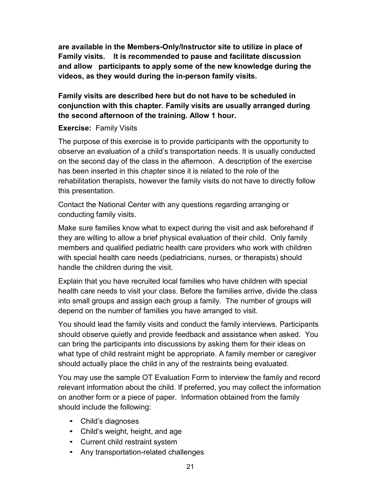**are available in the Members-Only/Instructor site to utilize in place of Family visits. It is recommended to pause and facilitate discussion and allow participants to apply some of the new knowledge during the videos, as they would during the in-person family visits.**

#### **Family visits are described here but do not have to be scheduled in conjunction with this chapter. Family visits are usually arranged during the second afternoon of the training. Allow 1 hour.**

#### **Exercise:** Family Visits

The purpose of this exercise is to provide participants with the opportunity to observe an evaluation of a child's transportation needs. It is usually conducted on the second day of the class in the afternoon. A description of the exercise has been inserted in this chapter since it is related to the role of the rehabilitation therapists, however the family visits do not have to directly follow this presentation.

Contact the National Center with any questions regarding arranging or conducting family visits.

Make sure families know what to expect during the visit and ask beforehand if they are willing to allow a brief physical evaluation of their child. Only family members and qualified pediatric health care providers who work with children with special health care needs (pediatricians, nurses, or therapists) should handle the children during the visit.

Explain that you have recruited local families who have children with special health care needs to visit your class. Before the families arrive, divide the class into small groups and assign each group a family. The number of groups will depend on the number of families you have arranged to visit.

You should lead the family visits and conduct the family interviews. Participants should observe quietly and provide feedback and assistance when asked. You can bring the participants into discussions by asking them for their ideas on what type of child restraint might be appropriate. A family member or caregiver should actually place the child in any of the restraints being evaluated.

You may use the sample OT Evaluation Form to interview the family and record relevant information about the child. If preferred, you may collect the information on another form or a piece of paper. Information obtained from the family should include the following:

- Child's diagnoses
- Child's weight, height, and age
- Current child restraint system
- Any transportation-related challenges